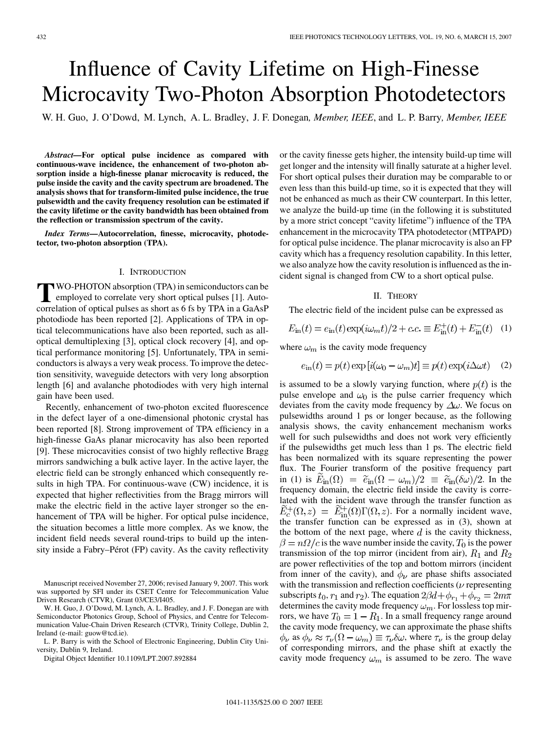# <span id="page-0-0"></span>Influence of Cavity Lifetime on High-Finesse Microcavity Two-Photon Absorption Photodetectors

W. H. Guo, J. O'Dowd, M. Lynch, A. L. Bradley, J. F. Donegan*, Member, IEEE*, and L. P. Barry*, Member, IEEE*

*Abstract—***For optical pulse incidence as compared with continuous-wave incidence, the enhancement of two-photon absorption inside a high-finesse planar microcavity is reduced, the pulse inside the cavity and the cavity spectrum are broadened. The analysis shows that for transform-limited pulse incidence, the true pulsewidth and the cavity frequency resolution can be estimated if the cavity lifetime or the cavity bandwidth has been obtained from the reflection or transmission spectrum of the cavity.**

*Index Terms—***Autocorrelation, finesse, microcavity, photodetector, two-photon absorption (TPA).**

### I. INTRODUCTION

**T**WO-PHOTON absorption (TPA) in semiconductors can be employed to correlate very short optical pulses [\[1\]](#page-2-0). Auto-<br>correlation of optical pulses as short as 6.6 folly TPA in a Go As P correlation of optical pulses as short as 6 fs by TPA in a GaAsP photodiode has been reported [\[2\]](#page-2-0). Applications of TPA in optical telecommunications have also been reported, such as alloptical demultiplexing [\[3\],](#page-2-0) optical clock recovery [\[4\]](#page-2-0), and optical performance monitoring [\[5\]](#page-2-0). Unfortunately, TPA in semiconductors is always a very weak process. To improve the detection sensitivity, waveguide detectors with very long absorption length [\[6\]](#page-2-0) and avalanche photodiodes with very high internal gain have been used.

Recently, enhancement of two-photon excited fluorescence in the defect layer of a one-dimensional photonic crystal has been reported [\[8\].](#page-2-0) Strong improvement of TPA efficiency in a high-finesse GaAs planar microcavity has also been reported [\[9\]](#page-2-0). These microcavities consist of two highly reflective Bragg mirrors sandwiching a bulk active layer. In the active layer, the electric field can be strongly enhanced which consequently results in high TPA. For continuous-wave (CW) incidence, it is expected that higher reflectivities from the Bragg mirrors will make the electric field in the active layer stronger so the enhancement of TPA will be higher. For optical pulse incidence, the situation becomes a little more complex. As we know, the incident field needs several round-trips to build up the intensity inside a Fabry–Pérot (FP) cavity. As the cavity reflectivity

Manuscript received November 27, 2006; revised January 9, 2007. This work was supported by SFI under its CSET Centre for Telecommunication Value Driven Research (CTVR), Grant 03/CE3/I405.

W. H. Guo, J. O'Dowd, M. Lynch, A. L. Bradley, and J. F. Donegan are with Semiconductor Photonics Group, School of Physics, and Centre for Telecommunication Value-Chain Driven Research (CTVR), Trinity College, Dublin 2, Ireland (e-mail: guow@tcd.ie).

Digital Object Identifier 10.1109/LPT.2007.892884

or the cavity finesse gets higher, the intensity build-up time will get longer and the intensity will finally saturate at a higher level. For short optical pulses their duration may be comparable to or even less than this build-up time, so it is expected that they will not be enhanced as much as their CW counterpart. In this letter, we analyze the build-up time (in the following it is substituted by a more strict concept "cavity lifetime") influence of the TPA enhancement in the microcavity TPA photodetector (MTPAPD) for optical pulse incidence. The planar microcavity is also an FP cavity which has a frequency resolution capability. In this letter, we also analyze how the cavity resolution is influenced as the incident signal is changed from CW to a short optical pulse.

## II. THEORY

The electric field of the incident pulse can be expressed as

$$
E_{\rm in}(t) = e_{\rm in}(t) \exp(i\omega_m t)/2 + c.c. \equiv E_{\rm in}^+(t) + E_{\rm in}^-(t) \quad (1)
$$

where  $\omega_m$  is the cavity mode frequency

$$
e_{\rm in}(t) = p(t) \exp[i(\omega_0 - \omega_m)t] \equiv p(t) \exp(i\Delta\omega t) \quad (2)
$$

is assumed to be a slowly varying function, where  $p(t)$  is the pulse envelope and  $\omega_0$  is the pulse carrier frequency which deviates from the cavity mode frequency by  $\Delta\omega$ . We focus on pulsewidths around 1 ps or longer because, as the following analysis shows, the cavity enhancement mechanism works well for such pulsewidths and does not work very efficiently if the pulsewidths get much less than 1 ps. The electric field has been normalized with its square representing the power flux. The Fourier transform of the positive frequency part in (1) is  $E_{\text{in}}(\Omega) = \tilde{e}_{\text{in}}(\Omega - \omega_m)/2 \equiv \tilde{e}_{\text{in}}(\delta \omega)/2$ . In the frequency domain, the electric field inside the cavity is correlated with the incident wave through the transfer function as  $\widetilde{E}_c^+(\Omega,z) = \widetilde{E}_m^+(\Omega)\Gamma(\Omega,z)$ . For a normally incident wave, the transfer function can be expressed as in [\(3\)](#page-1-0), shown at the bottom of the next page, where  $d$  is the cavity thickness,  $\beta = n\Omega/c$  is the wave number inside the cavity,  $T_0$  is the power transmission of the top mirror (incident from air),  $R_1$  and  $R_2$ are power reflectivities of the top and bottom mirrors (incident from inner of the cavity), and  $\phi_{\nu}$  are phase shifts associated with the transmission and reflection coefficients ( $\nu$  representing subscripts  $t_0$ ,  $r_1$  and  $r_2$ ). The equation  $2\beta d + \phi_{r_1} + \phi_{r_2} = 2m\pi$ determines the cavity mode frequency  $\omega_m$ . For lossless top mirrors, we have  $T_0 = 1 - R_1$ . In a small frequency range around the cavity mode frequency, we can approximate the phase shifts  $\phi_{\nu}$  as  $\phi_{\nu} \approx \tau_{\nu}(\Omega - \omega_m) \equiv \tau_{\nu} \delta \omega$ , where  $\tau_{\nu}$  is the group delay of corresponding mirrors, and the phase shift at exactly the cavity mode frequency  $\omega_m$  is assumed to be zero. The wave

L. P. Barry is with the School of Electronic Engineering, Dublin City University, Dublin 9, Ireland.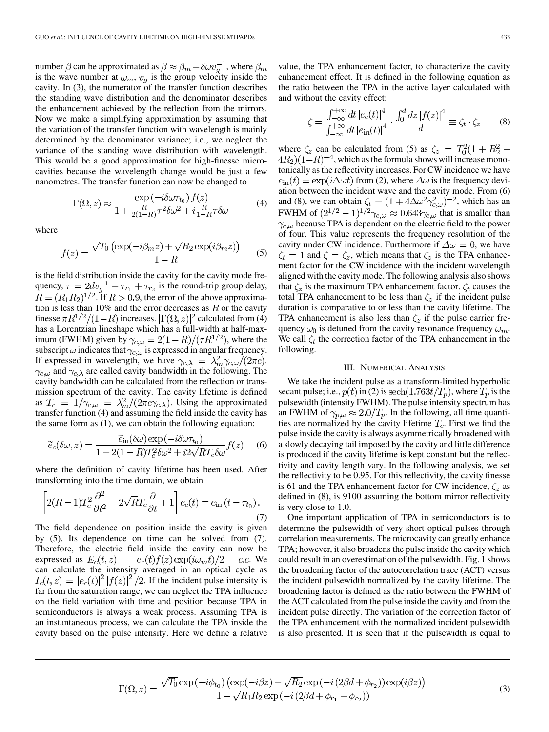<span id="page-1-0"></span>number  $\beta$  can be approximated as  $\beta \approx \beta_m + \delta \omega v_g^{-1}$ , where  $\beta_m$ is the wave number at  $\omega_m$ ,  $v_g$  is the group velocity inside the cavity. In (3), the numerator of the transfer function describes the standing wave distribution and the denominator describes the enhancement achieved by the reflection from the mirrors. Now we make a simplifying approximation by assuming that the variation of the transfer function with wavelength is mainly determined by the denominator variance; i.e., we neglect the variance of the standing wave distribution with wavelength. This would be a good approximation for high-finesse microcavities because the wavelength change would be just a few nanometres. The transfer function can now be changed to

$$
\Gamma(\Omega, z) \approx \frac{\exp(-i\delta\omega\tau_{t_0}) f(z)}{1 + \frac{R}{2(1-R)}\tau^2 \delta\omega^2 + i\frac{R}{1-R}\tau \delta\omega}
$$
(4)

where

$$
f(z) = \frac{\sqrt{T_0} \left( \exp(-i\beta_m z) + \sqrt{R_2} \exp(i\beta_m z) \right)}{1 - R} \tag{5}
$$

is the field distribution inside the cavity for the cavity mode frequency,  $\tau = 2dv_g^{-1} + \tau_{r_1} + \tau_{r_2}$  is the round-trip group delay,  $R = (R_1 R_2)^{1/2}$ . If  $R > 0.9$ , the error of the above approximation is less than 10% and the error decreases as  $R$  or the cavity finesse  $\pi R^{1/2}/(1-R)$  increases.  $|\Gamma(\Omega, z)|^2$  calculated from (4) has a Lorentzian lineshape which has a full-width at half-maximum (FWHM) given by  $\gamma_{c,\omega} = 2(1 - R)/(\tau R^{1/2})$ , where the subscript  $\omega$  indicates that  $\gamma_{c,\omega}$  is expressed in angular frequency. If expressed in wavelength, we have  $\gamma_{c,\lambda} = \lambda_m^2 \gamma_{c,\omega} / (2\pi c)$ .  $\gamma_{c,\omega}$  and  $\gamma_{c,\lambda}$  are called cavity bandwidth in the following. The cavity bandwidth can be calculated from the reflection or transmission spectrum of the cavity. The cavity lifetime is defined as  $T_c = 1/\gamma_{c,\omega} = \lambda_m^2/(2\pi c \gamma_{c,\lambda})$ . Using the approximated transfer function (4) and assuming the field inside the cavity has the same form as [\(1\)](#page-0-0), we can obtain the following equation:

$$
\widetilde{e}_c(\delta \omega, z) = \frac{\widetilde{e}_{\text{in}}(\delta \omega) \exp(-i\delta \omega \tau_{t_0})}{1 + 2(1 - R)T_c^2 \delta \omega^2 + i2\sqrt{R}T_c \delta \omega} f(z) \tag{6}
$$

where the definition of cavity lifetime has been used. After transforming into the time domain, we obtain

$$
\left[2(R-1)T_c^2\frac{\partial^2}{\partial t^2} + 2\sqrt{R}T_c\frac{\partial}{\partial t} + 1\right]e_c(t) = e_{\text{in}}\left(t - \tau_{t_0}\right). \tag{7}
$$

The field dependence on position inside the cavity is given by (5). Its dependence on time can be solved from (7). Therefore, the electric field inside the cavity can now be expressed as  $E_c(t, z) = e_c(t) f(z) \exp(i\omega_m t)/2 + c.c.$  We can calculate the intensity averaged in an optical cycle as  $I_c(t, z) = |e_c(t)|^2 |f(z)|^2 / 2$ . If the incident pulse intensity is far from the saturation range, we can neglect the TPA influence on the field variation with time and position because TPA in semiconductors is always a weak process. Assuming TPA is an instantaneous process, we can calculate the TPA inside the cavity based on the pulse intensity. Here we define a relative value, the TPA enhancement factor, to characterize the cavity enhancement effect. It is defined in the following equation as the ratio between the TPA in the active layer calculated with and without the cavity effect:

$$
\zeta = \frac{\int_{-\infty}^{+\infty} dt \, |e_c(t)|^4}{\int_{-\infty}^{+\infty} dt \, |e_{\rm in}(t)|^4} \cdot \frac{\int_0^d dz \, |f(z)|^4}{d} \equiv \zeta_t \cdot \zeta_z \qquad (8)
$$

where  $\zeta_z$  can be calculated from (5) as  $\zeta_z = T_0^2(1 + R_2^2 + R_3^2)$  $(4R_2)(1-R)^{-4}$ , which as the formula shows will increase monotonically as the reflectivity increases. For CW incidence we have  $e_{\text{in}}(t) = \exp(i\Delta\omega t)$  from [\(2\)](#page-0-0), where  $\Delta\omega$  is the frequency deviation between the incident wave and the cavity mode. From (6) and (8), we can obtain  $\zeta_t = (1 + 4\Delta\omega^2 \gamma_{c,\omega}^2)^{-2}$ , which has an FWHM of  $(2^{1/2} - 1)^{1/2}\gamma_{c,\omega} \approx 0.643\gamma_{c,\omega}$  that is smaller than  $\gamma_{c,\omega}$  because TPA is dependent on the electric field to the power of four. This value represents the frequency resolution of the cavity under CW incidence. Furthermore if  $\Delta \omega = 0$ , we have  $\zeta_t = 1$  and  $\zeta = \zeta_z$ , which means that  $\zeta_z$  is the TPA enhancement factor for the CW incidence with the incident wavelength aligned with the cavity mode. The following analysis also shows that  $\zeta_z$  is the maximum TPA enhancement factor.  $\zeta_t$  causes the total TPA enhancement to be less than  $\zeta$  if the incident pulse duration is comparative to or less than the cavity lifetime. The TPA enhancement is also less than  $\zeta_z$  if the pulse carrier frequency  $\omega_0$  is detuned from the cavity resonance frequency  $\omega_m$ . We call  $\zeta_t$  the correction factor of the TPA enhancement in the following.

## III. NUMERICAL ANALYSIS

We take the incident pulse as a transform-limited hyperbolic secant pulse; i.e.,  $p(t)$  in [\(2\)](#page-0-0) is sech(1.763 $t/T_p$ ), where  $T_p$  is the pulsewidth (intensity FWHM). The pulse intensity spectrum has an FWHM of  $\gamma_{p,\omega} \approx 2.0/T_p$ . In the following, all time quantities are normalized by the cavity lifetime  $T_c$ . First we find the pulse inside the cavity is always asymmetrically broadened with a slowly decaying tail imposed by the cavity and little difference is produced if the cavity lifetime is kept constant but the reflectivity and cavity length vary. In the following analysis, we set the reflectivity to be 0.95. For this reflectivity, the cavity finesse is 61 and the TPA enhancement factor for CW incidence,  $\zeta_z$  as defined in (8), is 9100 assuming the bottom mirror reflectivity is very close to 1.0.

One important application of TPA in semiconductors is to determine the pulsewidth of very short optical pulses through correlation measurements. The microcavity can greatly enhance TPA; however, it also broadens the pulse inside the cavity which could result in an overestimation of the pulsewidth. [Fig. 1](#page-2-0) shows the broadening factor of the autocorrelation trace (ACT) versus the incident pulsewidth normalized by the cavity lifetime. The broadening factor is defined as the ratio between the FWHM of the ACT calculated from the pulse inside the cavity and from the incident pulse directly. The variation of the correction factor of the TPA enhancement with the normalized incident pulsewidth is also presented. It is seen that if the pulsewidth is equal to

$$
\Gamma(\Omega, z) = \frac{\sqrt{T_0} \exp(-i\phi_{t_0}) \left( \exp(-i\beta z) + \sqrt{R_2} \exp(-i(2\beta d + \phi_{r_2})) \exp(i\beta z) \right)}{1 - \sqrt{R_1 R_2} \exp(-i(2\beta d + \phi_{r_1} + \phi_{r_2}))}
$$
(3)